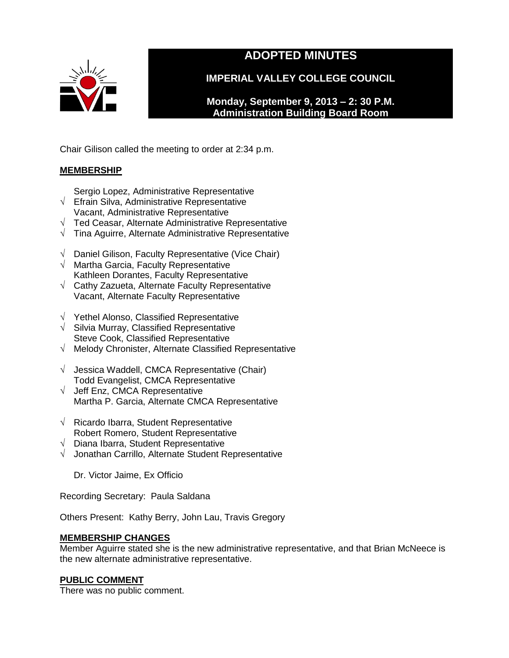

# **ADOPTED MINUTES**

**IMPERIAL VALLEY COLLEGE COUNCIL**

**Monday, September 9, 2013 – 2: 30 P.M. Administration Building Board Room** 

Chair Gilison called the meeting to order at 2:34 p.m.

# **MEMBERSHIP**

- Sergio Lopez, Administrative Representative
- √ Efrain Silva, Administrative Representative
- Vacant, Administrative Representative
- √ Ted Ceasar, Alternate Administrative Representative
- √ Tina Aguirre, Alternate Administrative Representative
- √ Daniel Gilison, Faculty Representative (Vice Chair)
- √ Martha Garcia, Faculty Representative Kathleen Dorantes, Faculty Representative
- √ Cathy Zazueta, Alternate Faculty Representative Vacant, Alternate Faculty Representative
- √ Yethel Alonso, Classified Representative
- $\sqrt{\phantom{a}}$  Silvia Murray, Classified Representative Steve Cook, Classified Representative
- √ Melody Chronister, Alternate Classified Representative
- √ Jessica Waddell, CMCA Representative (Chair) Todd Evangelist, CMCA Representative
- √ Jeff Enz, CMCA Representative Martha P. Garcia, Alternate CMCA Representative
- √ Ricardo Ibarra, Student Representative Robert Romero, Student Representative
- √ Diana Ibarra, Student Representative
- √ Jonathan Carrillo, Alternate Student Representative

Dr. Victor Jaime, Ex Officio

Recording Secretary: Paula Saldana

Others Present: Kathy Berry, John Lau, Travis Gregory

# **MEMBERSHIP CHANGES**

Member Aguirre stated she is the new administrative representative, and that Brian McNeece is the new alternate administrative representative.

# **PUBLIC COMMENT**

There was no public comment.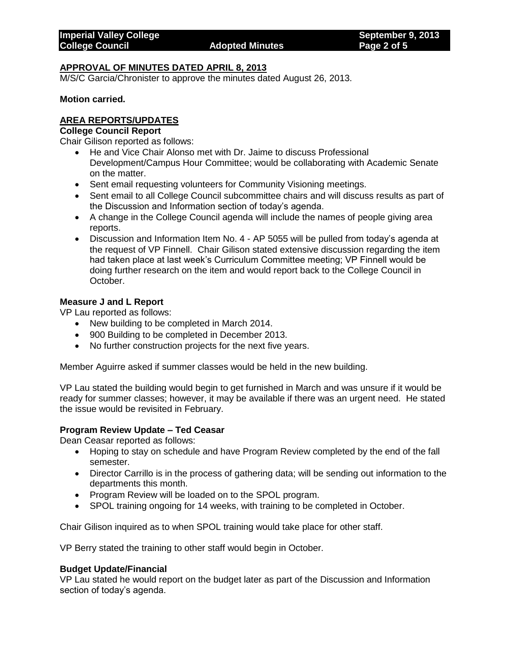### **APPROVAL OF MINUTES DATED APRIL 8, 2013**

M/S/C Garcia/Chronister to approve the minutes dated August 26, 2013.

**Motion carried.**

### **AREA REPORTS/UPDATES**

#### **College Council Report**

Chair Gilison reported as follows:

- He and Vice Chair Alonso met with Dr. Jaime to discuss Professional Development/Campus Hour Committee; would be collaborating with Academic Senate on the matter.
- Sent email requesting volunteers for Community Visioning meetings.
- Sent email to all College Council subcommittee chairs and will discuss results as part of the Discussion and Information section of today's agenda.
- A change in the College Council agenda will include the names of people giving area reports.
- Discussion and Information Item No. 4 AP 5055 will be pulled from today's agenda at the request of VP Finnell. Chair Gilison stated extensive discussion regarding the item had taken place at last week's Curriculum Committee meeting; VP Finnell would be doing further research on the item and would report back to the College Council in October.

#### **Measure J and L Report**

VP Lau reported as follows:

- New building to be completed in March 2014.
- 900 Building to be completed in December 2013.
- No further construction projects for the next five years.

Member Aguirre asked if summer classes would be held in the new building.

VP Lau stated the building would begin to get furnished in March and was unsure if it would be ready for summer classes; however, it may be available if there was an urgent need. He stated the issue would be revisited in February.

#### **Program Review Update – Ted Ceasar**

Dean Ceasar reported as follows:

- Hoping to stay on schedule and have Program Review completed by the end of the fall semester.
- Director Carrillo is in the process of gathering data; will be sending out information to the departments this month.
- Program Review will be loaded on to the SPOL program.
- SPOL training ongoing for 14 weeks, with training to be completed in October.

Chair Gilison inquired as to when SPOL training would take place for other staff.

VP Berry stated the training to other staff would begin in October.

#### **Budget Update/Financial**

VP Lau stated he would report on the budget later as part of the Discussion and Information section of today's agenda.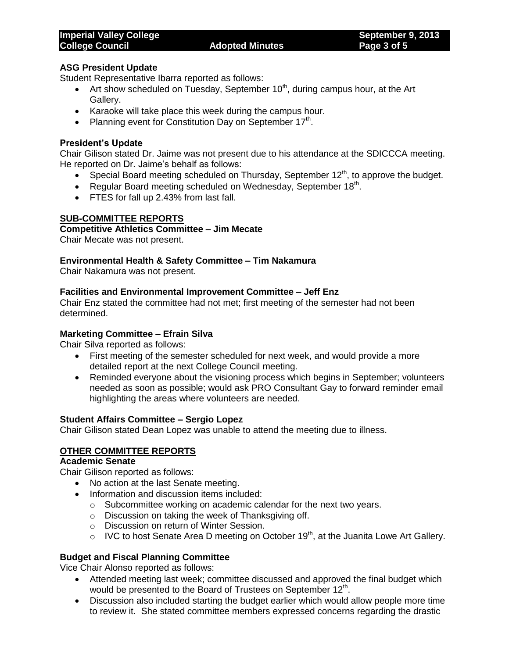## **ASG President Update**

Student Representative Ibarra reported as follows:

- Art show scheduled on Tuesday, September  $10<sup>th</sup>$ , during campus hour, at the Art Gallery.
- Karaoke will take place this week during the campus hour.
- Planning event for Constitution Day on September  $17<sup>th</sup>$ .

## **President's Update**

Chair Gilison stated Dr. Jaime was not present due to his attendance at the SDICCCA meeting. He reported on Dr. Jaime's behalf as follows:

- Special Board meeting scheduled on Thursday, September  $12<sup>th</sup>$ , to approve the budget.
- Regular Board meeting scheduled on Wednesday, September  $18<sup>th</sup>$ .
- FTES for fall up 2.43% from last fall.

### **SUB-COMMITTEE REPORTS**

#### **Competitive Athletics Committee – Jim Mecate**

Chair Mecate was not present.

## **Environmental Health & Safety Committee – Tim Nakamura**

Chair Nakamura was not present.

### **Facilities and Environmental Improvement Committee – Jeff Enz**

Chair Enz stated the committee had not met; first meeting of the semester had not been determined.

#### **Marketing Committee – Efrain Silva**

Chair Silva reported as follows:

- First meeting of the semester scheduled for next week, and would provide a more detailed report at the next College Council meeting.
- Reminded everyone about the visioning process which begins in September; volunteers needed as soon as possible; would ask PRO Consultant Gay to forward reminder email highlighting the areas where volunteers are needed.

#### **Student Affairs Committee – Sergio Lopez**

Chair Gilison stated Dean Lopez was unable to attend the meeting due to illness.

## **OTHER COMMITTEE REPORTS**

## **Academic Senate**

Chair Gilison reported as follows:

- No action at the last Senate meeting.
- Information and discussion items included:
	- o Subcommittee working on academic calendar for the next two years.
	- o Discussion on taking the week of Thanksgiving off.
	- o Discussion on return of Winter Session.
	- $\circ$  IVC to host Senate Area D meeting on October 19<sup>th</sup>, at the Juanita Lowe Art Gallery.

## **Budget and Fiscal Planning Committee**

Vice Chair Alonso reported as follows:

- Attended meeting last week; committee discussed and approved the final budget which would be presented to the Board of Trustees on September  $12<sup>th</sup>$ .
- Discussion also included starting the budget earlier which would allow people more time to review it. She stated committee members expressed concerns regarding the drastic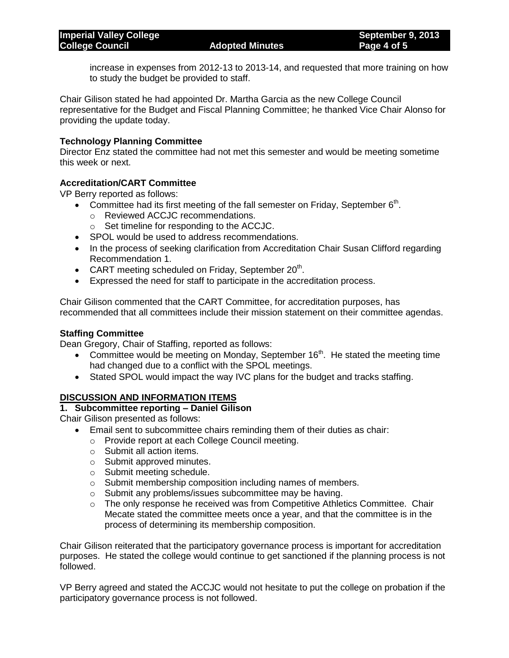increase in expenses from 2012-13 to 2013-14, and requested that more training on how to study the budget be provided to staff.

Chair Gilison stated he had appointed Dr. Martha Garcia as the new College Council representative for the Budget and Fiscal Planning Committee; he thanked Vice Chair Alonso for providing the update today.

### **Technology Planning Committee**

Director Enz stated the committee had not met this semester and would be meeting sometime this week or next.

## **Accreditation/CART Committee**

VP Berry reported as follows:

- Committee had its first meeting of the fall semester on Friday, September  $6<sup>th</sup>$ .
	- o Reviewed ACCJC recommendations.
	- o Set timeline for responding to the ACCJC.
- SPOL would be used to address recommendations.
- In the process of seeking clarification from Accreditation Chair Susan Clifford regarding Recommendation 1.
- CART meeting scheduled on Friday, September  $20<sup>th</sup>$ .
- Expressed the need for staff to participate in the accreditation process.

Chair Gilison commented that the CART Committee, for accreditation purposes, has recommended that all committees include their mission statement on their committee agendas.

#### **Staffing Committee**

Dean Gregory, Chair of Staffing, reported as follows:

- Committee would be meeting on Monday, September  $16<sup>th</sup>$ . He stated the meeting time had changed due to a conflict with the SPOL meetings.
- Stated SPOL would impact the way IVC plans for the budget and tracks staffing.

## **DISCUSSION AND INFORMATION ITEMS**

#### **1. Subcommittee reporting – Daniel Gilison**

Chair Gilison presented as follows:

- Email sent to subcommittee chairs reminding them of their duties as chair:
	- o Provide report at each College Council meeting.
	- o Submit all action items.
	- o Submit approved minutes.
	- o Submit meeting schedule.
	- o Submit membership composition including names of members.
	- o Submit any problems/issues subcommittee may be having.
	- $\circ$  The only response he received was from Competitive Athletics Committee. Chair Mecate stated the committee meets once a year, and that the committee is in the process of determining its membership composition.

Chair Gilison reiterated that the participatory governance process is important for accreditation purposes. He stated the college would continue to get sanctioned if the planning process is not followed.

VP Berry agreed and stated the ACCJC would not hesitate to put the college on probation if the participatory governance process is not followed.